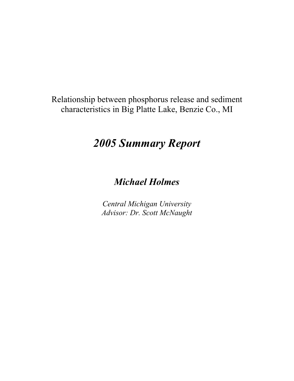Relationship between phosphorus release and sediment characteristics in Big Platte Lake, Benzie Co., MI

# *2005 Summary Report*

# *Michael Holmes*

*Central Michigan University Advisor: Dr. Scott McNaught*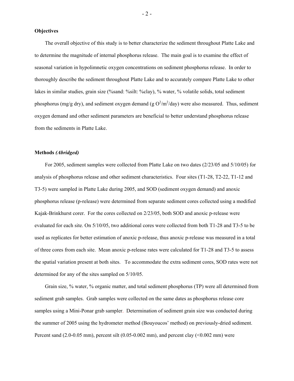#### **Objectives**

The overall objective of this study is to better characterize the sediment throughout Platte Lake and to determine the magnitude of internal phosphorus release. The main goal is to examine the effect of seasonal variation in hypolimnetic oxygen concentrations on sediment phosphorus release. In order to thoroughly describe the sediment throughout Platte Lake and to accurately compare Platte Lake to other lakes in similar studies, grain size (%sand: %silt: %clay), % water, % volatile solids, total sediment phosphorus (mg/g dry), and sediment oxygen demand (g  $O^2/m^2$ /day) were also measured. Thus, sediment oxygen demand and other sediment parameters are beneficial to better understand phosphorus release from the sediments in Platte Lake.

#### **Methods** *(Abridged)*

For 2005, sediment samples were collected from Platte Lake on two dates (2/23/05 and 5/10/05) for analysis of phosphorus release and other sediment characteristics. Four sites (T1-28, T2-22, T1-12 and T3-5) were sampled in Platte Lake during 2005, and SOD (sediment oxygen demand) and anoxic phosphorus release (p-release) were determined from separate sediment cores collected using a modified Kajak-Brinkhurst corer. For the cores collected on 2/23/05, both SOD and anoxic p-release were evaluated for each site. On 5/10/05, two additional cores were collected from both T1-28 and T3-5 to be used as replicates for better estimation of anoxic p-release, thus anoxic p-release was measured in a total of three cores from each site. Mean anoxic p-release rates were calculated for T1-28 and T3-5 to assess the spatial variation present at both sites. To accommodate the extra sediment cores, SOD rates were not determined for any of the sites sampled on 5/10/05.

Grain size, % water, % organic matter, and total sediment phosphorus (TP) were all determined from sediment grab samples. Grab samples were collected on the same dates as phosphorus release core samples using a Mini-Ponar grab sampler. Determination of sediment grain size was conducted during the summer of 2005 using the hydrometer method (Bouyoucos' method) on previously-dried sediment. Percent sand (2.0-0.05 mm), percent silt (0.05-0.002 mm), and percent clay (<0.002 mm) were

- 2 -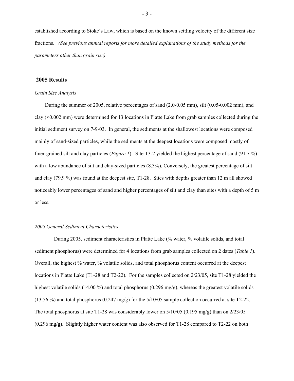established according to Stoke's Law, which is based on the known settling velocity of the different size fractions. *(See previous annual reports for more detailed explanations of the study methods for the parameters other than grain size).* 

## **2005 Results**

### *Grain Size Analysis*

During the summer of 2005, relative percentages of sand (2.0-0.05 mm), silt (0.05-0.002 mm), and clay (<0.002 mm) were determined for 13 locations in Platte Lake from grab samples collected during the initial sediment survey on 7-9-03. In general, the sediments at the shallowest locations were composed mainly of sand-sized particles, while the sediments at the deepest locations were composed mostly of finer-grained silt and clay particles (*Figure 1*). Site T3-2 yielded the highest percentage of sand (91.7 %) with a low abundance of silt and clay-sized particles  $(8.3\%)$ . Conversely, the greatest percentage of silt and clay (79.9 %) was found at the deepest site, T1-28. Sites with depths greater than 12 m all showed noticeably lower percentages of sand and higher percentages of silt and clay than sites with a depth of 5 m or less.

### *2005 General Sediment Characteristics*

During 2005, sediment characteristics in Platte Lake (% water, % volatile solids, and total sediment phosphorus) were determined for 4 locations from grab samples collected on 2 dates (*Table 1*). Overall, the highest % water, % volatile solids, and total phosphorus content occurred at the deepest locations in Platte Lake (T1-28 and T2-22). For the samples collected on 2/23/05, site T1-28 yielded the highest volatile solids (14.00 %) and total phosphorus (0.296 mg/g), whereas the greatest volatile solids  $(13.56\%)$  and total phosphorus  $(0.247 \text{ mg/g})$  for the  $5/10/05$  sample collection occurred at site T2-22. The total phosphorus at site T1-28 was considerably lower on 5/10/05 (0.195 mg/g) than on 2/23/05 (0.296 mg/g). Slightly higher water content was also observed for T1-28 compared to T2-22 on both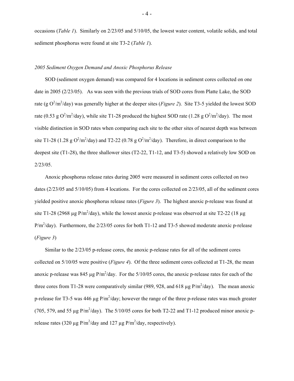occasions (*Table 1*). Similarly on 2/23/05 and 5/10/05, the lowest water content, volatile solids, and total sediment phosphorus were found at site T3-2 (*Table 1*).

# *2005 Sediment Oxygen Demand and Anoxic Phosphorus Release*

SOD (sediment oxygen demand) was compared for 4 locations in sediment cores collected on one date in 2005 (2/23/05). As was seen with the previous trials of SOD cores from Platte Lake, the SOD rate (g  $O^2/m^2$ /day) was generally higher at the deeper sites (*Figure 2*). Site T3-5 yielded the lowest SOD rate (0.53 g  $O^2/m^2$ /day), while site T1-28 produced the highest SOD rate (1.28 g  $O^2/m^2$ /day). The most visible distinction in SOD rates when comparing each site to the other sites of nearest depth was between site T1-28 (1.28 g  $O^2/m^2$ /day) and T2-22 (0.78 g  $O^2/m^2$ /day). Therefore, in direct comparison to the deepest site (T1-28), the three shallower sites (T2-22, T1-12, and T3-5) showed a relatively low SOD on 2/23/05.

Anoxic phosphorus release rates during 2005 were measured in sediment cores collected on two dates (2/23/05 and 5/10/05) from 4 locations. For the cores collected on 2/23/05, all of the sediment cores yielded positive anoxic phosphorus release rates (*Figure 3*). The highest anoxic p-release was found at site T1-28 (2968 µg P/m<sup>2</sup>/day), while the lowest anoxic p-release was observed at site T2-22 (18 µg  $P/m^2$ /day). Furthermore, the 2/23/05 cores for both T1-12 and T3-5 showed moderate anoxic p-release (*Figure 3*)

Similar to the 2/23/05 p-release cores, the anoxic p-release rates for all of the sediment cores collected on 5/10/05 were positive (*Figure 4*). Of the three sediment cores collected at T1-28, the mean anoxic p-release was 845  $\mu$ g P/m<sup>2</sup>/day. For the 5/10/05 cores, the anoxic p-release rates for each of the three cores from T1-28 were comparatively similar (989, 928, and 618  $\mu$ g P/m<sup>2</sup>/day). The mean anoxic p-release for T3-5 was 446  $\mu$ g P/m<sup>2</sup>/day; however the range of the three p-release rates was much greater (705, 579, and 55 µg  $P/m^2$ /day). The 5/10/05 cores for both T2-22 and T1-12 produced minor anoxic prelease rates (320  $\mu$ g P/m<sup>2</sup>/day and 127  $\mu$ g P/m<sup>2</sup>/day, respectively).

- 4 -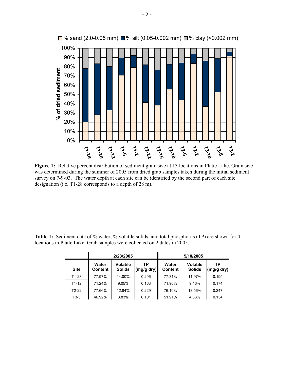

**Figure 1:** Relative percent distribution of sediment grain size at 13 locations in Platte Lake. Grain size was determined during the summer of 2005 from dried grab samples taken during the initial sediment survey on 7-9-03. The water depth at each site can be identified by the second part of each site designation (i.e. T1-28 corresponds to a depth of 28 m).

| <b>Table 1:</b> Sediment data of % water, % volatile solids, and total phosphorus (TP) are shown for 4 |  |  |  |  |  |  |  |
|--------------------------------------------------------------------------------------------------------|--|--|--|--|--|--|--|
| locations in Platte Lake. Grab samples were collected on 2 dates in 2005.                              |  |  |  |  |  |  |  |

|             |                         | 2/23/2005                        |                  | 5/10/2005               |                                  |                  |  |  |  |
|-------------|-------------------------|----------------------------------|------------------|-------------------------|----------------------------------|------------------|--|--|--|
| <b>Site</b> | Water<br><b>Content</b> | <b>Volatile</b><br><b>Solids</b> | ТP<br>(mg/g dry) | Water<br><b>Content</b> | <b>Volatile</b><br><b>Solids</b> | ТP<br>(mg/g dry) |  |  |  |
| $T1-28$     | 77.97%                  | 14.00%                           | 0.296            | 77.31%                  | 11.97%                           | 0.195            |  |  |  |
| $T1-12$     | 71.24%                  | 9.05%                            | 0.163            | 71.90%                  | 9.46%                            | 0.174            |  |  |  |
| $T2-22$     | 77.66%                  | 12.84%                           | 0.229            | 76.10%                  | 13.56%                           | 0.247            |  |  |  |
| $T3-5$      | 46.92%                  | 3.83%                            | 0.101            | 51.91%                  | 4.63%                            | 0.134            |  |  |  |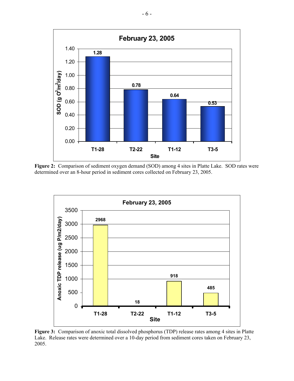

**Figure 2:** Comparison of sediment oxygen demand (SOD) among 4 sites in Platte Lake. SOD rates were determined over an 8-hour period in sediment cores collected on February 23, 2005.



**Figure 3:** Comparison of anoxic total dissolved phosphorus (TDP) release rates among 4 sites in Platte Lake. Release rates were determined over a 10-day period from sediment cores taken on February 23, 2005.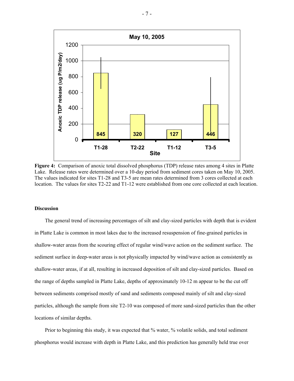

**Figure 4:** Comparison of anoxic total dissolved phosphorus (TDP) release rates among 4 sites in Platte Lake. Release rates were determined over a 10-day period from sediment cores taken on May 10, 2005. The values indicated for sites T1-28 and T3-5 are mean rates determined from 3 cores collected at each location. The values for sites T2-22 and T1-12 were established from one core collected at each location.

#### **Discussion**

The general trend of increasing percentages of silt and clay-sized particles with depth that is evident in Platte Lake is common in most lakes due to the increased resuspension of fine-grained particles in shallow-water areas from the scouring effect of regular wind/wave action on the sediment surface. The sediment surface in deep-water areas is not physically impacted by wind/wave action as consistently as shallow-water areas, if at all, resulting in increased deposition of silt and clay-sized particles. Based on the range of depths sampled in Platte Lake, depths of approximately 10-12 m appear to be the cut off between sediments comprised mostly of sand and sediments composed mainly of silt and clay-sized particles, although the sample from site T2-10 was composed of more sand-sized particles than the other locations of similar depths.

Prior to beginning this study, it was expected that % water, % volatile solids, and total sediment phosphorus would increase with depth in Platte Lake, and this prediction has generally held true over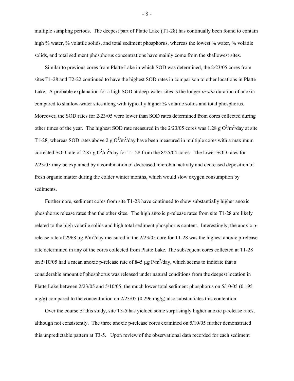multiple sampling periods. The deepest part of Platte Lake (T1-28) has continually been found to contain high % water, % volatile solids, and total sediment phosphorus, whereas the lowest % water, % volatile solids, and total sediment phosphorus concentrations have mainly come from the shallowest sites.

Similar to previous cores from Platte Lake in which SOD was determined, the 2/23/05 cores from sites T1-28 and T2-22 continued to have the highest SOD rates in comparison to other locations in Platte Lake*.* A probable explanation for a high SOD at deep-water sites is the longer *in situ* duration of anoxia compared to shallow-water sites along with typically higher % volatile solids and total phosphorus. Moreover, the SOD rates for 2/23/05 were lower than SOD rates determined from cores collected during other times of the year. The highest SOD rate measured in the  $2/23/05$  cores was 1.28 g  $O^2/m^2$ /day at site T1-28, whereas SOD rates above 2 g  $O^2/m^2$ /day have been measured in multiple cores with a maximum corrected SOD rate of 2.87 g  $O^2/m^2$ /day for T1-28 from the 8/25/04 cores. The lower SOD rates for 2/23/05 may be explained by a combination of decreased microbial activity and decreased deposition of fresh organic matter during the colder winter months, which would slow oxygen consumption by sediments.

Furthermore, sediment cores from site T1-28 have continued to show substantially higher anoxic phosphorus release rates than the other sites. The high anoxic p-release rates from site T1-28 are likely related to the high volatile solids and high total sediment phosphorus content. Interestingly, the anoxic prelease rate of 2968 µg  $P/m^2$ /day measured in the 2/23/05 core for T1-28 was the highest anoxic p-release rate determined in any of the cores collected from Platte Lake. The subsequent cores collected at T1-28 on  $5/10/05$  had a mean anoxic p-release rate of 845  $\mu$ g P/m<sup>2</sup>/day, which seems to indicate that a considerable amount of phosphorus was released under natural conditions from the deepest location in Platte Lake between 2/23/05 and 5/10/05; the much lower total sediment phosphorus on 5/10/05 (0.195 mg/g) compared to the concentration on  $2/23/05$  (0.296 mg/g) also substantiates this contention.

Over the course of this study, site T3-5 has yielded some surprisingly higher anoxic p-release rates, although not consistently. The three anoxic p-release cores examined on 5/10/05 further demonstrated this unpredictable pattern at T3-5. Upon review of the observational data recorded for each sediment

- 8 -